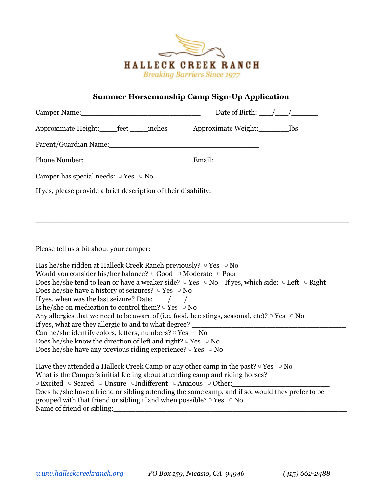

## **Summer Horsemanship Camp Sign-Up Application**

| Camper Name: 1988 and 2008 and 2008 and 2008 and 2008 and 2008 and 2008 and 2008 and 2008 and 2008 and 2008 and 2008 and 2008 and 2008 and 2008 and 2008 and 2008 and 2008 and 2008 and 2008 and 2008 and 2008 and 2008 and 20 | Date of Birth: $\angle$ / |
|--------------------------------------------------------------------------------------------------------------------------------------------------------------------------------------------------------------------------------|---------------------------|
| Approximate Height: _____feet ______inches Approximate Weight: ________________lbs                                                                                                                                             |                           |
|                                                                                                                                                                                                                                |                           |
|                                                                                                                                                                                                                                |                           |
| Camper has special needs: $\circ$ Yes $\circ$ No                                                                                                                                                                               |                           |
| If yes, please provide a brief description of their disability:                                                                                                                                                                |                           |
|                                                                                                                                                                                                                                |                           |
|                                                                                                                                                                                                                                |                           |
|                                                                                                                                                                                                                                |                           |
| Please tell us a bit about your camper:                                                                                                                                                                                        |                           |

Has he/she ridden at Halleck Creek Ranch previously?  $\circ$  Yes  $\circ$  No Would you consider his/her balance? □ Good □ Moderate □ Poor Does he/she tend to lean or have a weaker side?  $\Box$  Yes  $\Box$  No If yes, which side:  $\Box$  Left  $\Box$  Right Does he/she have a history of seizures?  $\circ$  Yes  $\circ$  No If yes, when was the last seizure? Date:  $\frac{\sqrt{2}}{2}$ Is he/she on medication to control them?  $\circ$  Yes  $\circ$  No Any allergies that we need to be aware of (i.e. food, bee stings, seasonal, etc)?  $\circ$  Yes  $\circ$  No If yes, what are they allergic to and to what degree? Can he/she identify colors, letters, numbers?  $\circ$  Yes  $\circ$  No Does he/she know the direction of left and right?  $\circ$  Yes  $\circ$  No Does he/she have any previous riding experience?  $\circ$  Yes  $\circ$  No

Have they attended a Halleck Creek Camp or any other camp in the past?  $\Box$  Yes  $\Box$  No What is the Camper's initial feeling about attending camp and riding horses? ▢ Excited ▢ Scared ▢ Unsure ▢Indifferent ▢ Anxious ▢ Other:\_\_\_\_\_\_\_\_\_\_\_\_\_\_\_\_\_\_\_\_\_\_ Does he/she have a friend or sibling attending the same camp, and if so, would they prefer to be grouped with that friend or sibling if and when possible?  $\circ$  Yes  $\circ$  No Name of friend or sibling: